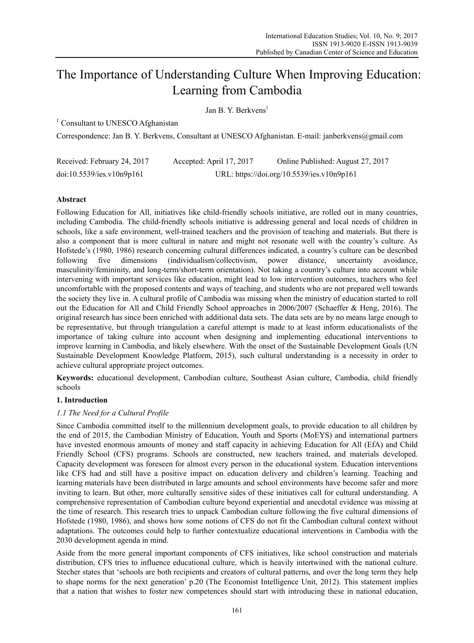# The Importance of Understanding Culture When Improving Education: Learning from Cambodia

Jan B. Y. Berkvens<sup>1</sup>

<sup>1</sup> Consultant to UNESCO Afghanistan

Correspondence: Jan B. Y. Berkvens, Consultant at UNESCO Afghanistan. E-mail: janberkvens@gmail.com

| Received: February 24, 2017 | Accepted: April 17, 2017 | Online Published: August 27, 2017          |
|-----------------------------|--------------------------|--------------------------------------------|
| doi:10.5539/ies.v10n9p161   |                          | URL: https://doi.org/10.5539/ies.v10n9p161 |

# **Abstract**

Following Education for All, initiatives like child-friendly schools initiative, are rolled out in many countries, including Cambodia. The child-friendly schools initiative is addressing general and local needs of children in schools, like a safe environment, well-trained teachers and the provision of teaching and materials. But there is also a component that is more cultural in nature and might not resonate well with the country's culture. As Hofstede's (1980, 1986) research concerning cultural differences indicated, a country's culture can be described following five dimensions (individualism/collectivism, power distance, uncertainty avoidance, masculinity/femininity, and long-term/short-term orientation). Not taking a country's culture into account while intervening with important services like education, might lead to low intervention outcomes, teachers who feel uncomfortable with the proposed contents and ways of teaching, and students who are not prepared well towards the society they live in. A cultural profile of Cambodia was missing when the ministry of education started to roll out the Education for All and Child Friendly School approaches in 2006/2007 (Schaeffer & Heng, 2016). The original research has since been enriched with additional data sets. The data sets are by no means large enough to be representative, but through triangulation a careful attempt is made to at least inform educationalists of the importance of taking culture into account when designing and implementing educational interventions to improve learning in Cambodia, and likely elsewhere. With the onset of the Sustainable Development Goals (UN Sustainable Development Knowledge Platform, 2015), such cultural understanding is a necessity in order to achieve cultural appropriate project outcomes.

**Keywords:** educational development, Cambodian culture, Southeast Asian culture, Cambodia, child friendly schools

# **1. Introduction**

# *1.1 The Need for a Cultural Profile*

Since Cambodia committed itself to the millennium development goals, to provide education to all children by the end of 2015, the Cambodian Ministry of Education, Youth and Sports (MoEYS) and international partners have invested enormous amounts of money and staff capacity in achieving Education for All (EfA) and Child Friendly School (CFS) programs. Schools are constructed, new teachers trained, and materials developed. Capacity development was foreseen for almost every person in the educational system. Education interventions like CFS had and still have a positive impact on education delivery and children's learning. Teaching and learning materials have been distributed in large amounts and school environments have become safer and more inviting to learn. But other, more culturally sensitive sides of these initiatives call for cultural understanding. A comprehensive representation of Cambodian culture beyond experiential and anecdotal evidence was missing at the time of research. This research tries to unpack Cambodian culture following the five cultural dimensions of Hofstede (1980, 1986), and shows how some notions of CFS do not fit the Cambodian cultural context without adaptations. The outcomes could help to further contextualize educational interventions in Cambodia with the 2030 development agenda in mind.

Aside from the more general important components of CFS initiatives, like school construction and materials distribution, CFS tries to influence educational culture, which is heavily intertwined with the national culture. Stecher states that 'schools are both recipients and creators of cultural patterns, and over the long term they help to shape norms for the next generation' p.20 (The Economist Intelligence Unit, 2012). This statement implies that a nation that wishes to foster new competences should start with introducing these in national education,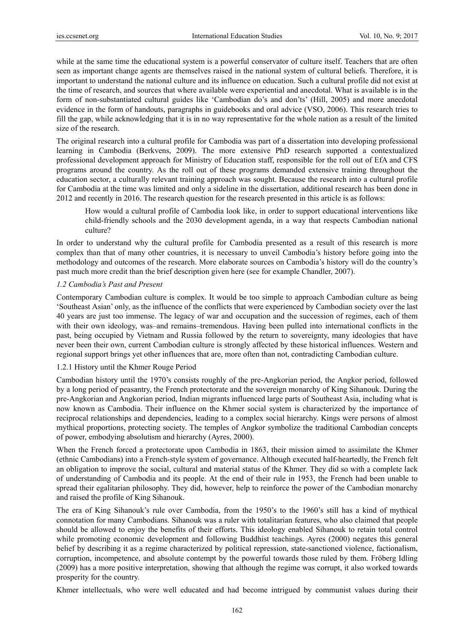while at the same time the educational system is a powerful conservator of culture itself. Teachers that are often seen as important change agents are themselves raised in the national system of cultural beliefs. Therefore, it is important to understand the national culture and its influence on education. Such a cultural profile did not exist at the time of research, and sources that where available were experiential and anecdotal. What is available is in the form of non-substantiated cultural guides like 'Cambodian do's and don'ts' (Hill, 2005) and more anecdotal evidence in the form of handouts, paragraphs in guidebooks and oral advice (VSO, 2006). This research tries to fill the gap, while acknowledging that it is in no way representative for the whole nation as a result of the limited size of the research.

The original research into a cultural profile for Cambodia was part of a dissertation into developing professional learning in Cambodia (Berkvens, 2009). The more extensive PhD research supported a contextualized professional development approach for Ministry of Education staff, responsible for the roll out of EfA and CFS programs around the country. As the roll out of these programs demanded extensive training throughout the education sector, a culturally relevant training approach was sought. Because the research into a cultural profile for Cambodia at the time was limited and only a sideline in the dissertation, additional research has been done in 2012 and recently in 2016. The research question for the research presented in this article is as follows:

How would a cultural profile of Cambodia look like, in order to support educational interventions like child-friendly schools and the 2030 development agenda, in a way that respects Cambodian national culture?

In order to understand why the cultural profile for Cambodia presented as a result of this research is more complex than that of many other countries, it is necessary to unveil Cambodia's history before going into the methodology and outcomes of the research. More elaborate sources on Cambodia's history will do the country's past much more credit than the brief description given here (see for example Chandler, 2007).

## *1.2 Cambodia's Past and Present*

Contemporary Cambodian culture is complex. It would be too simple to approach Cambodian culture as being 'Southeast Asian' only, as the influence of the conflicts that were experienced by Cambodian society over the last 40 years are just too immense. The legacy of war and occupation and the succession of regimes, each of them with their own ideology, was–and remains–tremendous. Having been pulled into international conflicts in the past, being occupied by Vietnam and Russia followed by the return to sovereignty, many ideologies that have never been their own, current Cambodian culture is strongly affected by these historical influences. Western and regional support brings yet other influences that are, more often than not, contradicting Cambodian culture.

# 1.2.1 History until the Khmer Rouge Period

Cambodian history until the 1970's consists roughly of the pre-Angkorian period, the Angkor period, followed by a long period of peasantry, the French protectorate and the sovereign monarchy of King Sihanouk. During the pre-Angkorian and Angkorian period, Indian migrants influenced large parts of Southeast Asia, including what is now known as Cambodia. Their influence on the Khmer social system is characterized by the importance of reciprocal relationships and dependencies, leading to a complex social hierarchy. Kings were persons of almost mythical proportions, protecting society. The temples of Angkor symbolize the traditional Cambodian concepts of power, embodying absolutism and hierarchy (Ayres, 2000).

When the French forced a protectorate upon Cambodia in 1863, their mission aimed to assimilate the Khmer (ethnic Cambodians) into a French-style system of governance. Although executed half-heartedly, the French felt an obligation to improve the social, cultural and material status of the Khmer. They did so with a complete lack of understanding of Cambodia and its people. At the end of their rule in 1953, the French had been unable to spread their egalitarian philosophy. They did, however, help to reinforce the power of the Cambodian monarchy and raised the profile of King Sihanouk.

The era of King Sihanouk's rule over Cambodia, from the 1950's to the 1960's still has a kind of mythical connotation for many Cambodians. Sihanouk was a ruler with totalitarian features, who also claimed that people should be allowed to enjoy the benefits of their efforts. This ideology enabled Sihanouk to retain total control while promoting economic development and following Buddhist teachings. Ayres (2000) negates this general belief by describing it as a regime characterized by political repression, state-sanctioned violence, factionalism, corruption, incompetence, and absolute contempt by the powerful towards those ruled by them. Fröberg Idling (2009) has a more positive interpretation, showing that although the regime was corrupt, it also worked towards prosperity for the country.

Khmer intellectuals, who were well educated and had become intrigued by communist values during their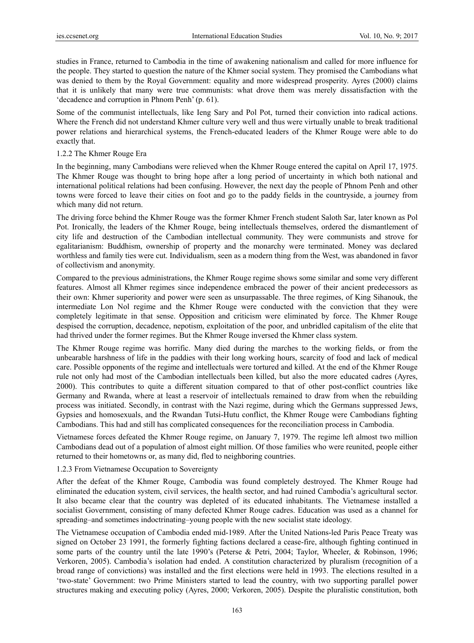studies in France, returned to Cambodia in the time of awakening nationalism and called for more influence for the people. They started to question the nature of the Khmer social system. They promised the Cambodians what was denied to them by the Royal Government: equality and more widespread prosperity. Ayres (2000) claims that it is unlikely that many were true communists: what drove them was merely dissatisfaction with the 'decadence and corruption in Phnom Penh' (p. 61).

Some of the communist intellectuals, like Ieng Sary and Pol Pot, turned their conviction into radical actions. Where the French did not understand Khmer culture very well and thus were virtually unable to break traditional power relations and hierarchical systems, the French-educated leaders of the Khmer Rouge were able to do exactly that.

## 1.2.2 The Khmer Rouge Era

In the beginning, many Cambodians were relieved when the Khmer Rouge entered the capital on April 17, 1975. The Khmer Rouge was thought to bring hope after a long period of uncertainty in which both national and international political relations had been confusing. However, the next day the people of Phnom Penh and other towns were forced to leave their cities on foot and go to the paddy fields in the countryside, a journey from which many did not return.

The driving force behind the Khmer Rouge was the former Khmer French student Saloth Sar, later known as Pol Pot. Ironically, the leaders of the Khmer Rouge, being intellectuals themselves, ordered the dismantlement of city life and destruction of the Cambodian intellectual community. They were communists and strove for egalitarianism: Buddhism, ownership of property and the monarchy were terminated. Money was declared worthless and family ties were cut. Individualism, seen as a modern thing from the West, was abandoned in favor of collectivism and anonymity.

Compared to the previous administrations, the Khmer Rouge regime shows some similar and some very different features. Almost all Khmer regimes since independence embraced the power of their ancient predecessors as their own: Khmer superiority and power were seen as unsurpassable. The three regimes, of King Sihanouk, the intermediate Lon Nol regime and the Khmer Rouge were conducted with the conviction that they were completely legitimate in that sense. Opposition and criticism were eliminated by force. The Khmer Rouge despised the corruption, decadence, nepotism, exploitation of the poor, and unbridled capitalism of the elite that had thrived under the former regimes. But the Khmer Rouge inversed the Khmer class system.

The Khmer Rouge regime was horrific. Many died during the marches to the working fields, or from the unbearable harshness of life in the paddies with their long working hours, scarcity of food and lack of medical care. Possible opponents of the regime and intellectuals were tortured and killed. At the end of the Khmer Rouge rule not only had most of the Cambodian intellectuals been killed, but also the more educated cadres (Ayres, 2000). This contributes to quite a different situation compared to that of other post-conflict countries like Germany and Rwanda, where at least a reservoir of intellectuals remained to draw from when the rebuilding process was initiated. Secondly, in contrast with the Nazi regime, during which the Germans suppressed Jews, Gypsies and homosexuals, and the Rwandan Tutsi-Hutu conflict, the Khmer Rouge were Cambodians fighting Cambodians. This had and still has complicated consequences for the reconciliation process in Cambodia.

Vietnamese forces defeated the Khmer Rouge regime, on January 7, 1979. The regime left almost two million Cambodians dead out of a population of almost eight million. Of those families who were reunited, people either returned to their hometowns or, as many did, fled to neighboring countries.

# 1.2.3 From Vietnamese Occupation to Sovereignty

After the defeat of the Khmer Rouge, Cambodia was found completely destroyed. The Khmer Rouge had eliminated the education system, civil services, the health sector, and had ruined Cambodia's agricultural sector. It also became clear that the country was depleted of its educated inhabitants. The Vietnamese installed a socialist Government, consisting of many defected Khmer Rouge cadres. Education was used as a channel for spreading–and sometimes indoctrinating–young people with the new socialist state ideology.

The Vietnamese occupation of Cambodia ended mid-1989. After the United Nations-led Paris Peace Treaty was signed on October 23 1991, the formerly fighting factions declared a cease-fire, although fighting continued in some parts of the country until the late 1990's (Peterse & Petri, 2004; Taylor, Wheeler, & Robinson, 1996; Verkoren, 2005). Cambodia's isolation had ended. A constitution characterized by pluralism (recognition of a broad range of convictions) was installed and the first elections were held in 1993. The elections resulted in a 'two-state' Government: two Prime Ministers started to lead the country, with two supporting parallel power structures making and executing policy (Ayres, 2000; Verkoren, 2005). Despite the pluralistic constitution, both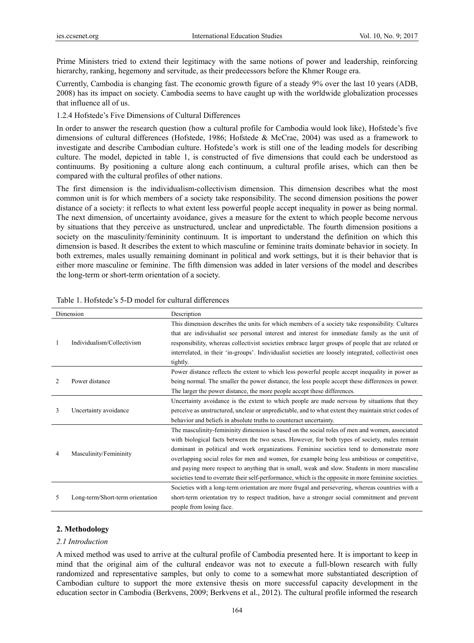Prime Ministers tried to extend their legitimacy with the same notions of power and leadership, reinforcing hierarchy, ranking, hegemony and servitude, as their predecessors before the Khmer Rouge era.

Currently, Cambodia is changing fast. The economic growth figure of a steady 9% over the last 10 years (ADB, 2008) has its impact on society. Cambodia seems to have caught up with the worldwide globalization processes that influence all of us.

1.2.4 Hofstede's Five Dimensions of Cultural Differences

In order to answer the research question (how a cultural profile for Cambodia would look like), Hofstede's five dimensions of cultural differences (Hofstede, 1986; Hofstede & McCrae, 2004) was used as a framework to investigate and describe Cambodian culture. Hofstede's work is still one of the leading models for describing culture. The model, depicted in table 1, is constructed of five dimensions that could each be understood as continuums. By positioning a culture along each continuum, a cultural profile arises, which can then be compared with the cultural profiles of other nations.

The first dimension is the individualism-collectivism dimension. This dimension describes what the most common unit is for which members of a society take responsibility. The second dimension positions the power distance of a society: it reflects to what extent less powerful people accept inequality in power as being normal. The next dimension, of uncertainty avoidance, gives a measure for the extent to which people become nervous by situations that they perceive as unstructured, unclear and unpredictable. The fourth dimension positions a society on the masculinity/femininity continuum. It is important to understand the definition on which this dimension is based. It describes the extent to which masculine or feminine traits dominate behavior in society. In both extremes, males usually remaining dominant in political and work settings, but it is their behavior that is either more masculine or feminine. The fifth dimension was added in later versions of the model and describes the long-term or short-term orientation of a society.

|   | Dimension                        | Description                                                                                                                                                                                                                                                                                                                                                                                                                                                                                                                                                                                          |
|---|----------------------------------|------------------------------------------------------------------------------------------------------------------------------------------------------------------------------------------------------------------------------------------------------------------------------------------------------------------------------------------------------------------------------------------------------------------------------------------------------------------------------------------------------------------------------------------------------------------------------------------------------|
|   | Individualism/Collectivism       | This dimension describes the units for which members of a society take responsibility. Cultures<br>that are individualist see personal interest and interest for immediate family as the unit of<br>responsibility, whereas collectivist societies embrace larger groups of people that are related or<br>interrelated, in their 'in-groups'. Individualist societies are loosely integrated, collectivist ones<br>tightly.                                                                                                                                                                          |
|   | Power distance                   | Power distance reflects the extent to which less powerful people accept inequality in power as<br>being normal. The smaller the power distance, the less people accept these differences in power.<br>The larger the power distance, the more people accept these differences.                                                                                                                                                                                                                                                                                                                       |
| 3 | Uncertainty avoidance            | Uncertainty avoidance is the extent to which people are made nervous by situations that they<br>perceive as unstructured, unclear or unpredictable, and to what extent they maintain strict codes of<br>behavior and beliefs in absolute truths to counteract uncertainty.                                                                                                                                                                                                                                                                                                                           |
| 4 | Masculinity/Femininity           | The masculinity-femininity dimension is based on the social roles of men and women, associated<br>with biological facts between the two sexes. However, for both types of society, males remain<br>dominant in political and work organizations. Feminine societies tend to demonstrate more<br>overlapping social roles for men and women, for example being less ambitious or competitive,<br>and paying more respect to anything that is small, weak and slow. Students in more masculine<br>societies tend to overrate their self-performance, which is the opposite in more feminine societies. |
| 5 | Long-term/Short-term orientation | Societies with a long-term orientation are more frugal and persevering, whereas countries with a<br>short-term orientation try to respect tradition, have a stronger social commitment and prevent<br>people from losing face.                                                                                                                                                                                                                                                                                                                                                                       |

#### **2. Methodology**

#### *2.1 Introduction*

A mixed method was used to arrive at the cultural profile of Cambodia presented here. It is important to keep in mind that the original aim of the cultural endeavor was not to execute a full-blown research with fully randomized and representative samples, but only to come to a somewhat more substantiated description of Cambodian culture to support the more extensive thesis on more successful capacity development in the education sector in Cambodia (Berkvens, 2009; Berkvens et al., 2012). The cultural profile informed the research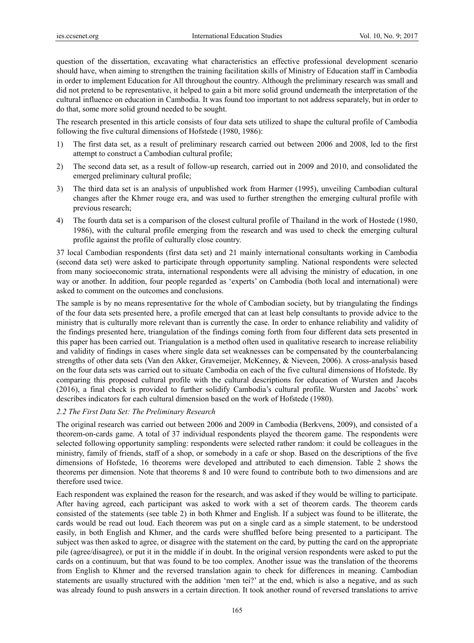question of the dissertation, excavating what characteristics an effective professional development scenario should have, when aiming to strengthen the training facilitation skills of Ministry of Education staff in Cambodia in order to implement Education for All throughout the country. Although the preliminary research was small and did not pretend to be representative, it helped to gain a bit more solid ground underneath the interpretation of the cultural influence on education in Cambodia. It was found too important to not address separately, but in order to do that, some more solid ground needed to be sought.

The research presented in this article consists of four data sets utilized to shape the cultural profile of Cambodia following the five cultural dimensions of Hofstede (1980, 1986):

- 1) The first data set, as a result of preliminary research carried out between 2006 and 2008, led to the first attempt to construct a Cambodian cultural profile;
- 2) The second data set, as a result of follow-up research, carried out in 2009 and 2010, and consolidated the emerged preliminary cultural profile;
- 3) The third data set is an analysis of unpublished work from Harmer (1995), unveiling Cambodian cultural changes after the Khmer rouge era, and was used to further strengthen the emerging cultural profile with previous research;
- 4) The fourth data set is a comparison of the closest cultural profile of Thailand in the work of Hostede (1980, 1986), with the cultural profile emerging from the research and was used to check the emerging cultural profile against the profile of culturally close country.

37 local Cambodian respondents (first data set) and 21 mainly international consultants working in Cambodia (second data set) were asked to participate through opportunity sampling. National respondents were selected from many socioeconomic strata, international respondents were all advising the ministry of education, in one way or another. In addition, four people regarded as 'experts' on Cambodia (both local and international) were asked to comment on the outcomes and conclusions.

The sample is by no means representative for the whole of Cambodian society, but by triangulating the findings of the four data sets presented here, a profile emerged that can at least help consultants to provide advice to the ministry that is culturally more relevant than is currently the case. In order to enhance reliability and validity of the findings presented here, triangulation of the findings coming forth from four different data sets presented in this paper has been carried out. Triangulation is a method often used in qualitative research to increase reliability and validity of findings in cases where single data set weaknesses can be compensated by the counterbalancing strengths of other data sets (Van den Akker, Gravemeijer, McKenney, & Nieveen, 2006). A cross-analysis based on the four data sets was carried out to situate Cambodia on each of the five cultural dimensions of Hofstede. By comparing this proposed cultural profile with the cultural descriptions for education of Wursten and Jacobs (2016), a final check is provided to further solidify Cambodia's cultural profile. Wursten and Jacobs' work describes indicators for each cultural dimension based on the work of Hofstede (1980).

# *2.2 The First Data Set: The Preliminary Research*

The original research was carried out between 2006 and 2009 in Cambodia (Berkvens, 2009), and consisted of a theorem-on-cards game. A total of 37 individual respondents played the theorem game. The respondents were selected following opportunity sampling: respondents were selected rather random: it could be colleagues in the ministry, family of friends, staff of a shop, or somebody in a cafe or shop. Based on the descriptions of the five dimensions of Hofstede, 16 theorems were developed and attributed to each dimension. Table 2 shows the theorems per dimension. Note that theorems 8 and 10 were found to contribute both to two dimensions and are therefore used twice.

Each respondent was explained the reason for the research, and was asked if they would be willing to participate. After having agreed, each participant was asked to work with a set of theorem cards. The theorem cards consisted of the statements (see table 2) in both Khmer and English. If a subject was found to be illiterate, the cards would be read out loud. Each theorem was put on a single card as a simple statement, to be understood easily, in both English and Khmer, and the cards were shuffled before being presented to a participant. The subject was then asked to agree, or disagree with the statement on the card, by putting the card on the appropriate pile (agree/disagree), or put it in the middle if in doubt. In the original version respondents were asked to put the cards on a continuum, but that was found to be too complex. Another issue was the translation of the theorems from English to Khmer and the reversed translation again to check for differences in meaning. Cambodian statements are usually structured with the addition 'men tei?' at the end, which is also a negative, and as such was already found to push answers in a certain direction. It took another round of reversed translations to arrive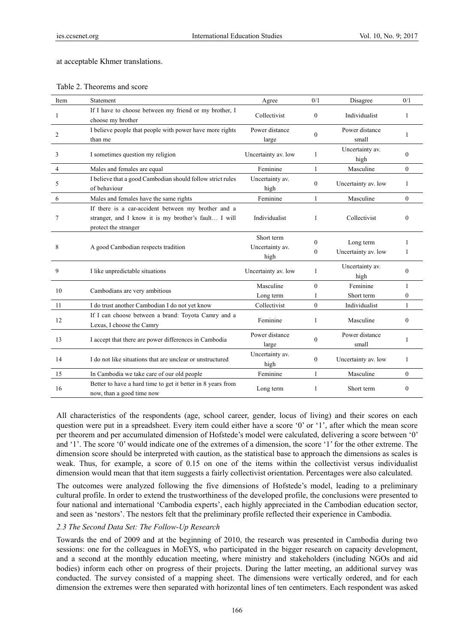#### at acceptable Khmer translations.

|  |  | Table 2. Theorems and score |  |  |
|--|--|-----------------------------|--|--|
|--|--|-----------------------------|--|--|

| Item | Statement                                                                                                                           | Agree                                 | 0/1                      | Disagree                         | 0/1                   |
|------|-------------------------------------------------------------------------------------------------------------------------------------|---------------------------------------|--------------------------|----------------------------------|-----------------------|
| 1    | If I have to choose between my friend or my brother, I<br>choose my brother                                                         | Collectivist                          | $\theta$                 | Individualist                    | 1                     |
| 2    | I believe people that people with power have more rights<br>than me                                                                 | Power distance<br>large               | $\mathbf{0}$             | Power distance<br>small          | 1                     |
| 3    | I sometimes question my religion                                                                                                    | Uncertainty av. low                   | $\mathbf{1}$             | Uncertainty av.<br>high          | $\theta$              |
| 4    | Males and females are equal                                                                                                         | Feminine                              | 1                        | Masculine                        | $\mathbf{0}$          |
| 5    | I believe that a good Cambodian should follow strict rules<br>of behaviour                                                          | Uncertainty av.<br>high               | $\mathbf{0}$             | Uncertainty av. low              | 1                     |
| 6    | Males and females have the same rights                                                                                              | Feminine                              | 1                        | Masculine                        | $\theta$              |
| 7    | If there is a car-accident between my brother and a<br>stranger, and I know it is my brother's fault I will<br>protect the stranger | Individualist                         | 1                        | Collectivist                     | $\Omega$              |
| 8    | A good Cambodian respects tradition                                                                                                 | Short term<br>Uncertainty av.<br>high | $\mathbf{0}$<br>$\theta$ | Long term<br>Uncertainty av. low | 1<br>1                |
| 9    | I like unpredictable situations                                                                                                     | Uncertainty av. low                   | 1                        | Uncertainty av.<br>high          | $\theta$              |
| 10   | Cambodians are very ambitious                                                                                                       | Masculine<br>Long term                | $\theta$<br>1            | Feminine<br>Short term           | 1<br>$\boldsymbol{0}$ |
| 11   | I do trust another Cambodian I do not yet know                                                                                      | Collectivist                          | $\Omega$                 | Individualist                    | $\mathbf{1}$          |
| 12   | If I can choose between a brand: Toyota Camry and a<br>Lexus, I choose the Camry                                                    | Feminine                              | $\mathbf{1}$             | Masculine                        | $\mathbf{0}$          |
| 13   | I accept that there are power differences in Cambodia                                                                               | Power distance<br>large               | $\theta$                 | Power distance<br>small          | 1                     |
| 14   | I do not like situations that are unclear or unstructured                                                                           | Uncertainty av.<br>high               | $\mathbf{0}$             | Uncertainty av. low              | 1                     |
| 15   | In Cambodia we take care of our old people                                                                                          | Feminine                              | 1                        | Masculine                        | $\theta$              |
| 16   | Better to have a hard time to get it better in 8 years from<br>now, than a good time now                                            | Long term                             | 1                        | Short term                       | $\theta$              |

All characteristics of the respondents (age, school career, gender, locus of living) and their scores on each question were put in a spreadsheet. Every item could either have a score '0' or '1', after which the mean score per theorem and per accumulated dimension of Hofstede's model were calculated, delivering a score between '0' and '1'. The score '0' would indicate one of the extremes of a dimension, the score '1' for the other extreme. The dimension score should be interpreted with caution, as the statistical base to approach the dimensions as scales is weak. Thus, for example, a score of 0.15 on one of the items within the collectivist versus individualist dimension would mean that that item suggests a fairly collectivist orientation. Percentages were also calculated.

The outcomes were analyzed following the five dimensions of Hofstede's model, leading to a preliminary cultural profile. In order to extend the trustworthiness of the developed profile, the conclusions were presented to four national and international 'Cambodia experts', each highly appreciated in the Cambodian education sector, and seen as 'nestors'. The nestors felt that the preliminary profile reflected their experience in Cambodia.

## *2.3 The Second Data Set: The Follow-Up Research*

Towards the end of 2009 and at the beginning of 2010, the research was presented in Cambodia during two sessions: one for the colleagues in MoEYS, who participated in the bigger research on capacity development, and a second at the monthly education meeting, where ministry and stakeholders (including NGOs and aid bodies) inform each other on progress of their projects. During the latter meeting, an additional survey was conducted. The survey consisted of a mapping sheet. The dimensions were vertically ordered, and for each dimension the extremes were then separated with horizontal lines of ten centimeters. Each respondent was asked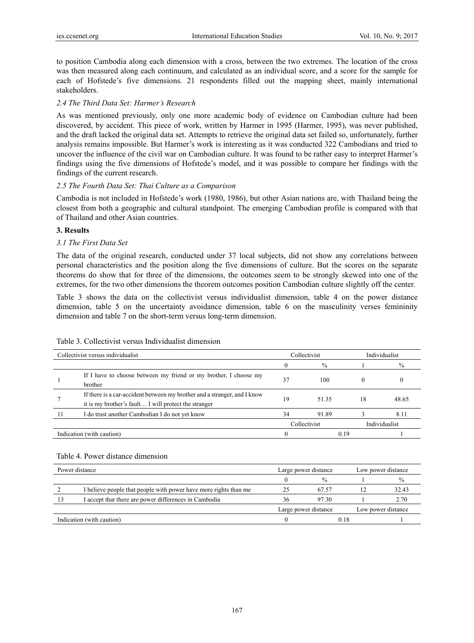to position Cambodia along each dimension with a cross, between the two extremes. The location of the cross was then measured along each continuum, and calculated as an individual score, and a score for the sample for each of Hofstede's five dimensions. 21 respondents filled out the mapping sheet, mainly international stakeholders.

# *2.4 The Third Data Set: Harmer's Research*

As was mentioned previously, only one more academic body of evidence on Cambodian culture had been discovered, by accident. This piece of work, written by Harmer in 1995 (Harmer, 1995), was never published, and the draft lacked the original data set. Attempts to retrieve the original data set failed so, unfortunately, further analysis remains impossible. But Harmer's work is interesting as it was conducted 322 Cambodians and tried to uncover the influence of the civil war on Cambodian culture. It was found to be rather easy to interpret Harmer's findings using the five dimensions of Hofstede's model, and it was possible to compare her findings with the findings of the current research.

## *2.5 The Fourth Data Set: Thai Culture as a Comparison*

Cambodia is not included in Hofstede's work (1980, 1986), but other Asian nations are, with Thailand being the closest from both a geographic and cultural standpoint. The emerging Cambodian profile is compared with that of Thailand and other Asian countries.

# **3. Results**

# *3.1 The First Data Set*

The data of the original research, conducted under 37 local subjects, did not show any correlations between personal characteristics and the position along the five dimensions of culture. But the scores on the separate theorems do show that for three of the dimensions, the outcomes seem to be strongly skewed into one of the extremes, for the two other dimensions the theorem outcomes position Cambodian culture slightly off the center.

Table 3 shows the data on the collectivist versus individualist dimension, table 4 on the power distance dimension, table 5 on the uncertainty avoidance dimension, table 6 on the masculinity verses femininity dimension and table 7 on the short-term versus long-term dimension.

| Collectivist versus individualist |                                                                                                                                  | Collectivist |               | Individualist |               |
|-----------------------------------|----------------------------------------------------------------------------------------------------------------------------------|--------------|---------------|---------------|---------------|
|                                   |                                                                                                                                  |              | $\frac{0}{0}$ |               | $\frac{0}{0}$ |
|                                   | If I have to choose between my friend or my brother, I choose my<br>brother                                                      | 37           | 100           |               |               |
|                                   | If there is a car-accident between my brother and a stranger, and I know<br>it is my brother's fault I will protect the stranger | 19<br>51.35  |               | 18            | 48.65         |
|                                   | I do trust another Cambodian I do not yet know                                                                                   |              | 91.89         |               | 8.11          |
|                                   |                                                                                                                                  |              | Collectivist  |               | Individualist |
|                                   | Indication (with caution)                                                                                                        | 0.19         |               |               |               |

# Table 3. Collectivist versus Individualist dimension

#### Table 4. Power distance dimension

| Power distance            |                                                                  | Large power distance |               | Low power distance |               |
|---------------------------|------------------------------------------------------------------|----------------------|---------------|--------------------|---------------|
|                           |                                                                  |                      | $\frac{0}{0}$ |                    | $\frac{0}{0}$ |
|                           | I believe people that people with power have more rights than me | 25                   | 67.57         |                    | 32.43         |
| 13                        | I accept that there are power differences in Cambodia            | 97.30<br>36          |               |                    | 2.70          |
|                           |                                                                  | Large power distance |               | Low power distance |               |
| Indication (with caution) |                                                                  |                      |               | 0.18               |               |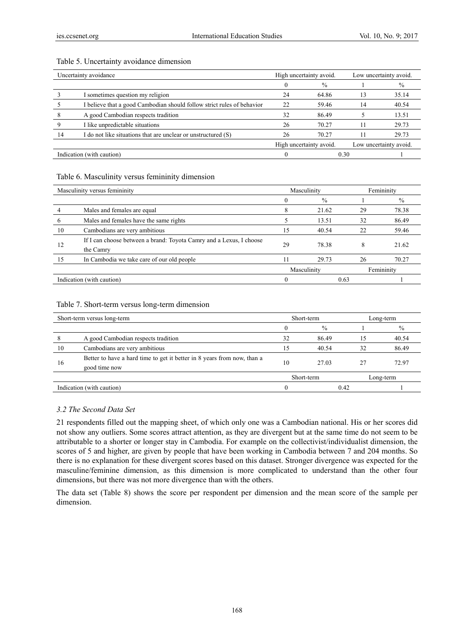# Table 5. Uncertainty avoidance dimension

| Uncertainty avoidance             |                                                                        | High uncertainty avoid. |       | Low uncertainty avoid. |                        |
|-----------------------------------|------------------------------------------------------------------------|-------------------------|-------|------------------------|------------------------|
|                                   |                                                                        |                         | $\%$  |                        | $\frac{0}{0}$          |
|                                   | I sometimes question my religion                                       | 24                      | 64.86 |                        | 35.14                  |
|                                   | I believe that a good Cambodian should follow strict rules of behavior | 22                      | 59.46 | 14                     | 40.54                  |
|                                   | A good Cambodian respects tradition                                    | 86.49<br>32             |       |                        | 13.51                  |
|                                   | I like unpredictable situations                                        | 26                      | 70.27 |                        | 29.73                  |
| 14                                | I do not like situations that are unclear or unstructured (S)          |                         | 70.27 |                        | 29.73                  |
|                                   | High uncertainty avoid.                                                |                         |       |                        | Low uncertainty avoid. |
| Indication (with caution)<br>0.30 |                                                                        |                         |       |                        |                        |

#### Table 6. Masculinity versus femininity dimension

| Masculinity versus femininity<br>Masculinity |                                                                                  |             | Femininity    |    |               |
|----------------------------------------------|----------------------------------------------------------------------------------|-------------|---------------|----|---------------|
|                                              |                                                                                  |             | $\frac{0}{0}$ |    | $\frac{0}{0}$ |
|                                              | Males and females are equal                                                      | 8           | 21.62         | 29 | 78.38         |
| b                                            | Males and females have the same rights                                           |             | 13.51         | 32 | 86.49         |
| 10                                           | Cambodians are very ambitious                                                    | 15<br>40.54 |               |    | 59.46         |
| 12                                           | If I can choose between a brand: Toyota Camry and a Lexus, I choose<br>the Camry | 78.38<br>29 |               | 8  | 21.62         |
|                                              | In Cambodia we take care of our old people                                       | 29.73       |               | 26 | 70.27         |
|                                              |                                                                                  |             | Masculinity   |    | Femininity    |
|                                              | Indication (with caution)                                                        | 0.63        |               |    |               |

# Table 7. Short-term versus long-term dimension

| Short-term versus long-term |                                                                                          | Short-term  |            | Long-term |           |
|-----------------------------|------------------------------------------------------------------------------------------|-------------|------------|-----------|-----------|
|                             |                                                                                          |             | $\%$       |           | $\%$      |
| 8                           | A good Cambodian respects tradition                                                      | 32          | 86.49      | 5         | 40.54     |
| 10                          | Cambodians are very ambitious                                                            | 40.54<br>15 |            | 32        | 86.49     |
| 16                          | Better to have a hard time to get it better in 8 years from now, than a<br>good time now | 27.03<br>10 |            |           | 72.97     |
|                             |                                                                                          |             | Short-term |           | Long-term |
|                             | Indication (with caution)                                                                | 0.42        |            |           |           |

# *3.2 The Second Data Set*

21 respondents filled out the mapping sheet, of which only one was a Cambodian national. His or her scores did not show any outliers. Some scores attract attention, as they are divergent but at the same time do not seem to be attributable to a shorter or longer stay in Cambodia. For example on the collectivist/individualist dimension, the scores of 5 and higher, are given by people that have been working in Cambodia between 7 and 204 months. So there is no explanation for these divergent scores based on this dataset. Stronger divergence was expected for the masculine/feminine dimension, as this dimension is more complicated to understand than the other four dimensions, but there was not more divergence than with the others.

The data set (Table 8) shows the score per respondent per dimension and the mean score of the sample per dimension.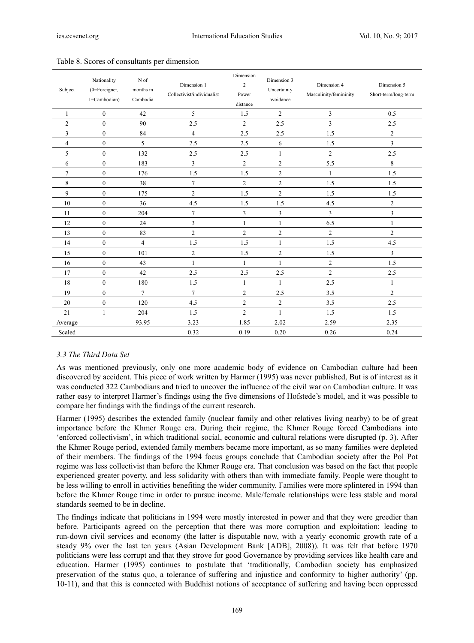| Subject        | Nationality<br>$(0=Foreigner,$<br>1=Cambodian) | N of<br>months in<br>Cambodia | Dimension 1<br>Collectivist/individualist | Dimension<br>$\overline{2}$<br>Power<br>distance | Dimension 3<br>Uncertainty<br>avoidance | Dimension 4<br>Masculinity/femininity | Dimension 5<br>Short-term/long-term |
|----------------|------------------------------------------------|-------------------------------|-------------------------------------------|--------------------------------------------------|-----------------------------------------|---------------------------------------|-------------------------------------|
| 1              | $\boldsymbol{0}$                               | 42                            | 5                                         | 1.5                                              | 2                                       | 3                                     | 0.5                                 |
| $\overline{2}$ | $\boldsymbol{0}$                               | 90                            | 2.5                                       | $\overline{c}$                                   | 2.5                                     | 3                                     | 2.5                                 |
| 3              | $\boldsymbol{0}$                               | 84                            | $\overline{4}$                            | 2.5                                              | 2.5                                     | 1.5                                   | $\overline{2}$                      |
| 4              | $\boldsymbol{0}$                               | 5                             | 2.5                                       | 2.5                                              | 6                                       | 1.5                                   | 3                                   |
| 5              | $\boldsymbol{0}$                               | 132                           | 2.5                                       | 2.5                                              | $\mathbf{1}$                            | $\boldsymbol{2}$                      | 2.5                                 |
| 6              | $\boldsymbol{0}$                               | 183                           | 3                                         | $\overline{c}$                                   | $\overline{c}$                          | 5.5                                   | $\,8\,$                             |
| 7              | $\boldsymbol{0}$                               | 176                           | 1.5                                       | 1.5                                              | $\sqrt{2}$                              | $\mathbf{1}$                          | 1.5                                 |
| 8              | $\boldsymbol{0}$                               | 38                            | $\tau$                                    | $\overline{c}$                                   | $\overline{c}$                          | 1.5                                   | 1.5                                 |
| 9              | $\mathbf{0}$                                   | 175                           | $\overline{c}$                            | 1.5                                              | $\overline{c}$                          | 1.5                                   | 1.5                                 |
| 10             | $\mathbf{0}$                                   | 36                            | 4.5                                       | 1.5                                              | 1.5                                     | 4.5                                   | $\overline{c}$                      |
| 11             | $\overline{0}$                                 | 204                           | $\overline{7}$                            | 3                                                | 3                                       | 3                                     | 3                                   |
| 12             | $\boldsymbol{0}$                               | 24                            | $\mathfrak z$                             | 1                                                | $\mathbf{1}$                            | 6.5                                   | 1                                   |
| 13             | $\boldsymbol{0}$                               | 83                            | $\boldsymbol{2}$                          | $\overline{2}$                                   | $\boldsymbol{2}$                        | $\overline{c}$                        | $\sqrt{2}$                          |
| 14             | $\mathbf{0}$                                   | $\overline{4}$                | 1.5                                       | 1.5                                              | $\mathbf{1}$                            | 1.5                                   | 4.5                                 |
| 15             | $\boldsymbol{0}$                               | 101                           | $\overline{c}$                            | 1.5                                              | $\sqrt{2}$                              | 1.5                                   | 3                                   |
| 16             | $\boldsymbol{0}$                               | 43                            | $\mathbf{1}$                              | $\mathbf{1}$                                     | $\mathbf{1}$                            | $\overline{c}$                        | 1.5                                 |
| 17             | $\boldsymbol{0}$                               | 42                            | 2.5                                       | 2.5                                              | 2.5                                     | $\boldsymbol{2}$                      | 2.5                                 |
| 18             | $\boldsymbol{0}$                               | 180                           | 1.5                                       | $\mathbf{1}$                                     | $\mathbf{1}$                            | 2.5                                   | $\mathbf{1}$                        |
| 19             | $\mathbf{0}$                                   | $\overline{7}$                | $\overline{7}$                            | $\overline{2}$                                   | 2.5                                     | 3.5                                   | $\overline{2}$                      |
| 20             | $\boldsymbol{0}$                               | 120                           | 4.5                                       | $\overline{c}$                                   | $\overline{c}$                          | 3.5                                   | 2.5                                 |
| 21             | 1                                              | 204                           | 1.5                                       | $\overline{2}$                                   | $\mathbf{1}$                            | 1.5                                   | 1.5                                 |
| Average        |                                                | 93.95                         | 3.23                                      | 1.85                                             | 2.02                                    | 2.59                                  | 2.35                                |
| Scaled         |                                                |                               | 0.32                                      | 0.19                                             | 0.20                                    | 0.26                                  | 0.24                                |

#### Table 8. Scores of consultants per dimension

#### *3.3 The Third Data Set*

As was mentioned previously, only one more academic body of evidence on Cambodian culture had been discovered by accident. This piece of work written by Harmer (1995) was never published, But is of interest as it was conducted 322 Cambodians and tried to uncover the influence of the civil war on Cambodian culture. It was rather easy to interpret Harmer's findings using the five dimensions of Hofstede's model, and it was possible to compare her findings with the findings of the current research.

Harmer (1995) describes the extended family (nuclear family and other relatives living nearby) to be of great importance before the Khmer Rouge era. During their regime, the Khmer Rouge forced Cambodians into 'enforced collectivism', in which traditional social, economic and cultural relations were disrupted (p. 3). After the Khmer Rouge period, extended family members became more important, as so many families were depleted of their members. The findings of the 1994 focus groups conclude that Cambodian society after the Pol Pot regime was less collectivist than before the Khmer Rouge era. That conclusion was based on the fact that people experienced greater poverty, and less solidarity with others than with immediate family. People were thought to be less willing to enroll in activities benefiting the wider community. Families were more splintered in 1994 than before the Khmer Rouge time in order to pursue income. Male/female relationships were less stable and moral standards seemed to be in decline.

The findings indicate that politicians in 1994 were mostly interested in power and that they were greedier than before. Participants agreed on the perception that there was more corruption and exploitation; leading to run-down civil services and economy (the latter is disputable now, with a yearly economic growth rate of a steady 9% over the last ten years (Asian Development Bank [ADB], 2008)). It was felt that before 1970 politicians were less corrupt and that they strove for good Governance by providing services like health care and education. Harmer (1995) continues to postulate that 'traditionally, Cambodian society has emphasized preservation of the status quo, a tolerance of suffering and injustice and conformity to higher authority' (pp. 10-11), and that this is connected with Buddhist notions of acceptance of suffering and having been oppressed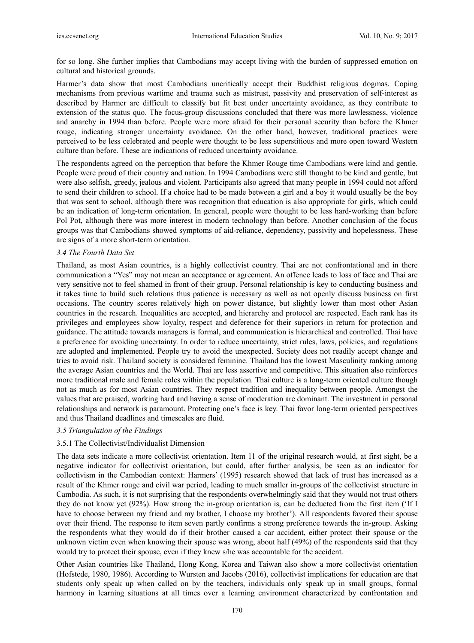for so long. She further implies that Cambodians may accept living with the burden of suppressed emotion on cultural and historical grounds.

Harmer's data show that most Cambodians uncritically accept their Buddhist religious dogmas. Coping mechanisms from previous wartime and trauma such as mistrust, passivity and preservation of self-interest as described by Harmer are difficult to classify but fit best under uncertainty avoidance, as they contribute to extension of the status quo. The focus-group discussions concluded that there was more lawlessness, violence and anarchy in 1994 than before. People were more afraid for their personal security than before the Khmer rouge, indicating stronger uncertainty avoidance. On the other hand, however, traditional practices were perceived to be less celebrated and people were thought to be less superstitious and more open toward Western culture than before. These are indications of reduced uncertainty avoidance.

The respondents agreed on the perception that before the Khmer Rouge time Cambodians were kind and gentle. People were proud of their country and nation. In 1994 Cambodians were still thought to be kind and gentle, but were also selfish, greedy, jealous and violent. Participants also agreed that many people in 1994 could not afford to send their children to school. If a choice had to be made between a girl and a boy it would usually be the boy that was sent to school, although there was recognition that education is also appropriate for girls, which could be an indication of long-term orientation. In general, people were thought to be less hard-working than before Pol Pot, although there was more interest in modern technology than before. Another conclusion of the focus groups was that Cambodians showed symptoms of aid-reliance, dependency, passivity and hopelessness. These are signs of a more short-term orientation.

# *3.4 The Fourth Data Set*

Thailand, as most Asian countries, is a highly collectivist country. Thai are not confrontational and in there communication a "Yes" may not mean an acceptance or agreement. An offence leads to loss of face and Thai are very sensitive not to feel shamed in front of their group. Personal relationship is key to conducting business and it takes time to build such relations thus patience is necessary as well as not openly discuss business on first occasions. The country scores relatively high on power distance, but slightly lower than most other Asian countries in the research. Inequalities are accepted, and hierarchy and protocol are respected. Each rank has its privileges and employees show loyalty, respect and deference for their superiors in return for protection and guidance. The attitude towards managers is formal, and communication is hierarchical and controlled. Thai have a preference for avoiding uncertainty. In order to reduce uncertainty, strict rules, laws, policies, and regulations are adopted and implemented. People try to avoid the unexpected. Society does not readily accept change and tries to avoid risk. Thailand society is considered feminine. Thailand has the lowest Masculinity ranking among the average Asian countries and the World. Thai are less assertive and competitive. This situation also reinforces more traditional male and female roles within the population. Thai culture is a long-term oriented culture though not as much as for most Asian countries. They respect tradition and inequality between people. Amongst the values that are praised, working hard and having a sense of moderation are dominant. The investment in personal relationships and network is paramount. Protecting one's face is key. Thai favor long-term oriented perspectives and thus Thailand deadlines and timescales are fluid.

# *3.5 Triangulation of the Findings*

# 3.5.1 The Collectivist/Individualist Dimension

The data sets indicate a more collectivist orientation. Item 11 of the original research would, at first sight, be a negative indicator for collectivist orientation, but could, after further analysis, be seen as an indicator for collectivism in the Cambodian context: Harmers' (1995) research showed that lack of trust has increased as a result of the Khmer rouge and civil war period, leading to much smaller in-groups of the collectivist structure in Cambodia. As such, it is not surprising that the respondents overwhelmingly said that they would not trust others they do not know yet (92%). How strong the in-group orientation is, can be deducted from the first item ('If I have to choose between my friend and my brother, I choose my brother'). All respondents favored their spouse over their friend. The response to item seven partly confirms a strong preference towards the in-group. Asking the respondents what they would do if their brother caused a car accident, either protect their spouse or the unknown victim even when knowing their spouse was wrong, about half (49%) of the respondents said that they would try to protect their spouse, even if they knew s/he was accountable for the accident.

Other Asian countries like Thailand, Hong Kong, Korea and Taiwan also show a more collectivist orientation (Hofstede, 1980, 1986). According to Wursten and Jacobs (2016), collectivist implications for education are that students only speak up when called on by the teachers, individuals only speak up in small groups, formal harmony in learning situations at all times over a learning environment characterized by confrontation and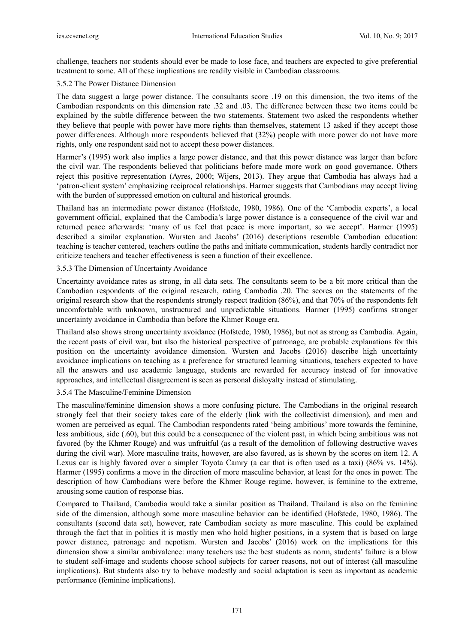challenge, teachers nor students should ever be made to lose face, and teachers are expected to give preferential treatment to some. All of these implications are readily visible in Cambodian classrooms.

# 3.5.2 The Power Distance Dimension

The data suggest a large power distance. The consultants score .19 on this dimension, the two items of the Cambodian respondents on this dimension rate .32 and .03. The difference between these two items could be explained by the subtle difference between the two statements. Statement two asked the respondents whether they believe that people with power have more rights than themselves, statement 13 asked if they accept those power differences. Although more respondents believed that (32%) people with more power do not have more rights, only one respondent said not to accept these power distances.

Harmer's (1995) work also implies a large power distance, and that this power distance was larger than before the civil war. The respondents believed that politicians before made more work on good governance. Others reject this positive representation (Ayres, 2000; Wijers, 2013). They argue that Cambodia has always had a 'patron-client system' emphasizing reciprocal relationships. Harmer suggests that Cambodians may accept living with the burden of suppressed emotion on cultural and historical grounds.

Thailand has an intermediate power distance (Hofstede, 1980, 1986). One of the 'Cambodia experts', a local government official, explained that the Cambodia's large power distance is a consequence of the civil war and returned peace afterwards: 'many of us feel that peace is more important, so we accept'. Harmer (1995) described a similar explanation. Wursten and Jacobs' (2016) descriptions resemble Cambodian education: teaching is teacher centered, teachers outline the paths and initiate communication, students hardly contradict nor criticize teachers and teacher effectiveness is seen a function of their excellence.

## 3.5.3 The Dimension of Uncertainty Avoidance

Uncertainty avoidance rates as strong, in all data sets. The consultants seem to be a bit more critical than the Cambodian respondents of the original research, rating Cambodia .20. The scores on the statements of the original research show that the respondents strongly respect tradition (86%), and that 70% of the respondents felt uncomfortable with unknown, unstructured and unpredictable situations. Harmer (1995) confirms stronger uncertainty avoidance in Cambodia than before the Khmer Rouge era.

Thailand also shows strong uncertainty avoidance (Hofstede, 1980, 1986), but not as strong as Cambodia. Again, the recent pasts of civil war, but also the historical perspective of patronage, are probable explanations for this position on the uncertainty avoidance dimension. Wursten and Jacobs (2016) describe high uncertainty avoidance implications on teaching as a preference for structured learning situations, teachers expected to have all the answers and use academic language, students are rewarded for accuracy instead of for innovative approaches, and intellectual disagreement is seen as personal disloyalty instead of stimulating.

# 3.5.4 The Masculine/Feminine Dimension

The masculine/feminine dimension shows a more confusing picture. The Cambodians in the original research strongly feel that their society takes care of the elderly (link with the collectivist dimension), and men and women are perceived as equal. The Cambodian respondents rated 'being ambitious' more towards the feminine, less ambitious, side (.60), but this could be a consequence of the violent past, in which being ambitious was not favored (by the Khmer Rouge) and was unfruitful (as a result of the demolition of following destructive waves during the civil war). More masculine traits, however, are also favored, as is shown by the scores on item 12. A Lexus car is highly favored over a simpler Toyota Camry (a car that is often used as a taxi) (86% vs. 14%). Harmer (1995) confirms a move in the direction of more masculine behavior, at least for the ones in power. The description of how Cambodians were before the Khmer Rouge regime, however, is feminine to the extreme, arousing some caution of response bias.

Compared to Thailand, Cambodia would take a similar position as Thailand. Thailand is also on the feminine side of the dimension, although some more masculine behavior can be identified (Hofstede, 1980, 1986). The consultants (second data set), however, rate Cambodian society as more masculine. This could be explained through the fact that in politics it is mostly men who hold higher positions, in a system that is based on large power distance, patronage and nepotism. Wursten and Jacobs' (2016) work on the implications for this dimension show a similar ambivalence: many teachers use the best students as norm, students' failure is a blow to student self-image and students choose school subjects for career reasons, not out of interest (all masculine implications). But students also try to behave modestly and social adaptation is seen as important as academic performance (feminine implications).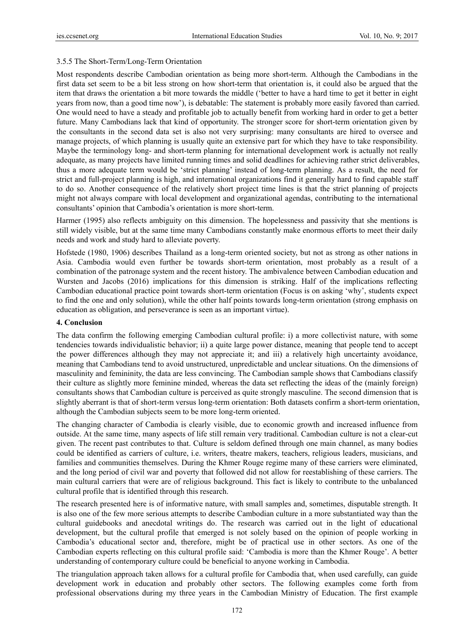# 3.5.5 The Short-Term/Long-Term Orientation

Most respondents describe Cambodian orientation as being more short-term. Although the Cambodians in the first data set seem to be a bit less strong on how short-term that orientation is, it could also be argued that the item that draws the orientation a bit more towards the middle ('better to have a hard time to get it better in eight years from now, than a good time now'), is debatable: The statement is probably more easily favored than carried. One would need to have a steady and profitable job to actually benefit from working hard in order to get a better future. Many Cambodians lack that kind of opportunity. The stronger score for short-term orientation given by the consultants in the second data set is also not very surprising: many consultants are hired to oversee and manage projects, of which planning is usually quite an extensive part for which they have to take responsibility. Maybe the terminology long- and short-term planning for international development work is actually not really adequate, as many projects have limited running times and solid deadlines for achieving rather strict deliverables, thus a more adequate term would be 'strict planning' instead of long-term planning. As a result, the need for strict and full-project planning is high, and international organizations find it generally hard to find capable staff to do so. Another consequence of the relatively short project time lines is that the strict planning of projects might not always compare with local development and organizational agendas, contributing to the international consultants' opinion that Cambodia's orientation is more short-term.

Harmer (1995) also reflects ambiguity on this dimension. The hopelessness and passivity that she mentions is still widely visible, but at the same time many Cambodians constantly make enormous efforts to meet their daily needs and work and study hard to alleviate poverty.

Hofstede (1980, 1906) describes Thailand as a long-term oriented society, but not as strong as other nations in Asia. Cambodia would even further be towards short-term orientation, most probably as a result of a combination of the patronage system and the recent history. The ambivalence between Cambodian education and Wursten and Jacobs (2016) implications for this dimension is striking. Half of the implications reflecting Cambodian educational practice point towards short-term orientation (Focus is on asking 'why', students expect to find the one and only solution), while the other half points towards long-term orientation (strong emphasis on education as obligation, and perseverance is seen as an important virtue).

# **4. Conclusion**

The data confirm the following emerging Cambodian cultural profile: i) a more collectivist nature, with some tendencies towards individualistic behavior; ii) a quite large power distance, meaning that people tend to accept the power differences although they may not appreciate it; and iii) a relatively high uncertainty avoidance, meaning that Cambodians tend to avoid unstructured, unpredictable and unclear situations. On the dimensions of masculinity and femininity, the data are less convincing. The Cambodian sample shows that Cambodians classify their culture as slightly more feminine minded, whereas the data set reflecting the ideas of the (mainly foreign) consultants shows that Cambodian culture is perceived as quite strongly masculine. The second dimension that is slightly aberrant is that of short-term versus long-term orientation: Both datasets confirm a short-term orientation, although the Cambodian subjects seem to be more long-term oriented.

The changing character of Cambodia is clearly visible, due to economic growth and increased influence from outside. At the same time, many aspects of life still remain very traditional. Cambodian culture is not a clear-cut given. The recent past contributes to that. Culture is seldom defined through one main channel, as many bodies could be identified as carriers of culture, i.e. writers, theatre makers, teachers, religious leaders, musicians, and families and communities themselves. During the Khmer Rouge regime many of these carriers were eliminated, and the long period of civil war and poverty that followed did not allow for reestablishing of these carriers. The main cultural carriers that were are of religious background. This fact is likely to contribute to the unbalanced cultural profile that is identified through this research.

The research presented here is of informative nature, with small samples and, sometimes, disputable strength. It is also one of the few more serious attempts to describe Cambodian culture in a more substantiated way than the cultural guidebooks and anecdotal writings do. The research was carried out in the light of educational development, but the cultural profile that emerged is not solely based on the opinion of people working in Cambodia's educational sector and, therefore, might be of practical use in other sectors. As one of the Cambodian experts reflecting on this cultural profile said: 'Cambodia is more than the Khmer Rouge'. A better understanding of contemporary culture could be beneficial to anyone working in Cambodia.

The triangulation approach taken allows for a cultural profile for Cambodia that, when used carefully, can guide development work in education and probably other sectors. The following examples come forth from professional observations during my three years in the Cambodian Ministry of Education. The first example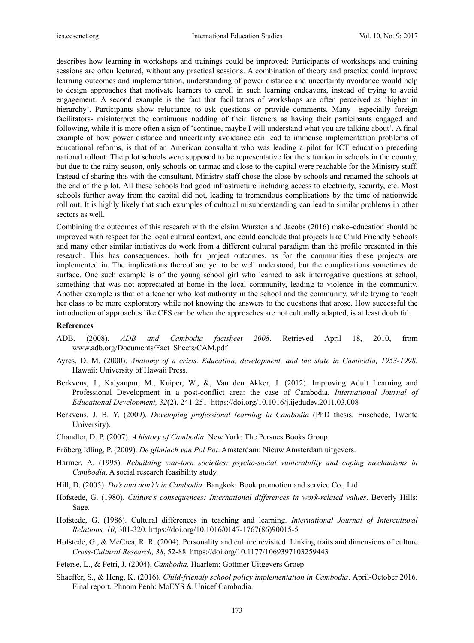describes how learning in workshops and trainings could be improved: Participants of workshops and training sessions are often lectured, without any practical sessions. A combination of theory and practice could improve learning outcomes and implementation, understanding of power distance and uncertainty avoidance would help to design approaches that motivate learners to enroll in such learning endeavors, instead of trying to avoid engagement. A second example is the fact that facilitators of workshops are often perceived as 'higher in hierarchy'. Participants show reluctance to ask questions or provide comments. Many –especially foreign facilitators- misinterpret the continuous nodding of their listeners as having their participants engaged and following, while it is more often a sign of 'continue, maybe I will understand what you are talking about'. A final example of how power distance and uncertainty avoidance can lead to immense implementation problems of educational reforms, is that of an American consultant who was leading a pilot for ICT education preceding national rollout: The pilot schools were supposed to be representative for the situation in schools in the country, but due to the rainy season, only schools on tarmac and close to the capital were reachable for the Ministry staff. Instead of sharing this with the consultant, Ministry staff chose the close-by schools and renamed the schools at the end of the pilot. All these schools had good infrastructure including access to electricity, security, etc. Most schools further away from the capital did not, leading to tremendous complications by the time of nationwide roll out. It is highly likely that such examples of cultural misunderstanding can lead to similar problems in other sectors as well.

Combining the outcomes of this research with the claim Wursten and Jacobs (2016) make–education should be improved with respect for the local cultural context, one could conclude that projects like Child Friendly Schools and many other similar initiatives do work from a different cultural paradigm than the profile presented in this research. This has consequences, both for project outcomes, as for the communities these projects are implemented in. The implications thereof are yet to be well understood, but the complications sometimes do surface. One such example is of the young school girl who learned to ask interrogative questions at school, something that was not appreciated at home in the local community, leading to violence in the community. Another example is that of a teacher who lost authority in the school and the community, while trying to teach her class to be more exploratory while not knowing the answers to the questions that arose. How successful the introduction of approaches like CFS can be when the approaches are not culturally adapted, is at least doubtful.

## **References**

- ADB. (2008). *ADB and Cambodia factsheet 2008*. Retrieved April 18, 2010, from www.adb.org/Documents/Fact\_Sheets/CAM.pdf
- Ayres, D. M. (2000). *Anatomy of a crisis. Education, development, and the state in Cambodia, 1953-1998*. Hawaii: University of Hawaii Press.
- Berkvens, J., Kalyanpur, M., Kuiper, W., &, Van den Akker, J. (2012). Improving Adult Learning and Professional Development in a post-conflict area: the case of Cambodia. *International Journal of Educational Development, 32*(2), 241-251. https://doi.org/10.1016/j.ijedudev.2011.03.008
- Berkvens, J. B. Y. (2009). *Developing professional learning in Cambodia* (PhD thesis, Enschede, Twente University).
- Chandler, D. P. (2007). *A history of Cambodia*. New York: The Persues Books Group.
- Fröberg Idling, P. (2009). *De glimlach van Pol Pot*. Amsterdam: Nieuw Amsterdam uitgevers.
- Harmer, A. (1995). *Rebuilding war-torn societies: psycho-social vulnerability and coping mechanisms in Cambodia*. A social research feasibility study.
- Hill, D. (2005). *Do's and don't's in Cambodia*. Bangkok: Book promotion and service Co., Ltd.
- Hofstede, G. (1980). *Culture's consequences: International differences in work-related values*. Beverly Hills: Sage.
- Hofstede, G. (1986). Cultural differences in teaching and learning. *International Journal of Intercultural Relations, 10*, 301-320. https://doi.org/10.1016/0147-1767(86)90015-5
- Hofstede, G., & McCrea, R. R. (2004). Personality and culture revisited: Linking traits and dimensions of culture. *Cross-Cultural Research, 38*, 52-88. https://doi.org/10.1177/1069397103259443
- Peterse, L., & Petri, J. (2004). *Cambodja*. Haarlem: Gottmer Uitgevers Groep.
- Shaeffer, S., & Heng, K. (2016). *Child-friendly school policy implementation in Cambodia*. April-October 2016. Final report. Phnom Penh: MoEYS & Unicef Cambodia.